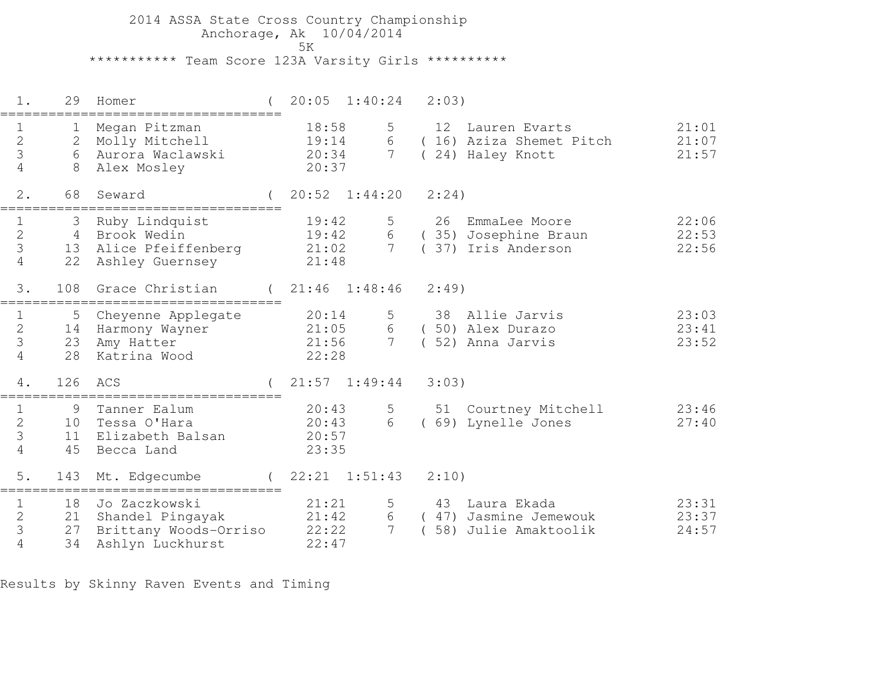2014 ASSA State Cross Country Championship Anchorage, Ak 10/04/2014ta di kacamatan ing Kabupatèn Kabupatèn Kabupatèn Kabupatèn Kabupatèn Kabupatèn Kabupatèn Kabupatèn K \*\*\*\*\*\*\*\*\*\*\* Team Score 123A Varsity Girls \*\*\*\*\*\*\*\*\*\*

 1. 29 Homer ( 20:05 1:40:24 2:03)=================================== 1 1 Megan Pitzman 18:58 5 12 Lauren Evarts 21:01 2 2 Molly Mitchell 19:14 6 ( 16) Aziza Shemet Pitch 21:07 3 6 Aurora Waclawski 20:34 7 ( 24) Haley Knott 21:57 4 8 Alex Mosley 20:37 2. 68 Seward ( 20:52 1:44:20 2:24)=================================== 1 3 Ruby Lindquist 19:42 5 26 EmmaLee Moore 22:06 2 4 Brook Wedin 19:42 6 ( 35) Josephine Braun 22:53 3 13 Alice Pfeiffenberg 21:02 7 ( 37) Iris Anderson 22:56 4 22 Ashley Guernsey 21:48 3. 108 Grace Christian ( 21:46 1:48:46 2:49)===================================1 5 Cheyenne Applegate 20:14 5 38 Allie Jarvis 23:03<br>2 14 Harmony Wayner 21:05 6 (50) Alex Durazo 23:41<br>23 23 Amy Hatter 21:56 7 (52) Anna Jarvis 23:52<br>23:52<br>22:28 4. 126 ACS ( 21:57 1:49:44 3:03)=================================== 1 9 Tanner Ealum 20:43 5 51 Courtney Mitchell 23:46 2 10 Tessa O'Hara 20:43 6 ( 69) Lynelle Jones 27:40 3 11 Elizabeth Balsan 20:57 4 45 Becca Land 23:35 5. 143 Mt. Edgecumbe ( 22:21 1:51:43 2:10)=================================== 1 18 Jo Zaczkowski 21:21 5 43 Laura Ekada 23:312 21 Shandel Pingayak 21:42 6 ( 47) Jasmine Jemewouk 23:37 3 27 Brittany Woods-Orriso 22:22 7 ( 58) Julie Amaktoolik 24:57 4 34 Ashlyn Luckhurst 22:47

Results by Skinny Raven Events and Timing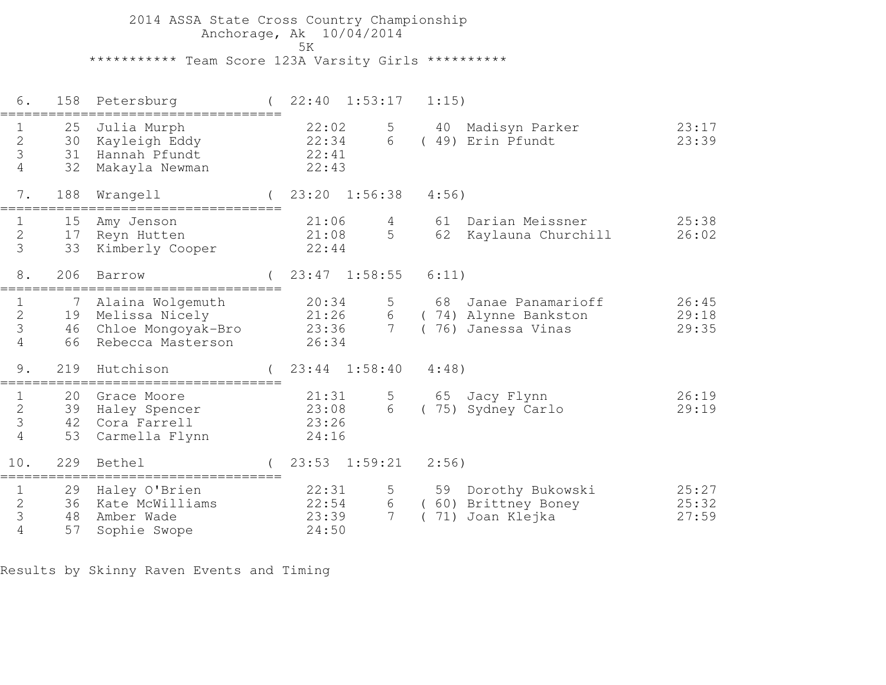2014 ASSA State Cross Country Championship Anchorage, Ak 10/04/2014ta di kacamatan ing Kabupatèn Kabupatèn Kabupatèn Kabupatèn Kabupatèn Kabupatèn Kabupatèn Kabupatèn K \*\*\*\*\*\*\*\*\*\*\* Team Score 123A Varsity Girls \*\*\*\*\*\*\*\*\*\*

 6. 158 Petersburg ( 22:40 1:53:17 1:15)=================================== 1 25 Julia Murph 22:02 5 40 Madisyn Parker 23:17 2 30 Kayleigh Eddy 22:34 6 ( 49) Erin Pfundt 23:39 3 31 Hannah Pfundt 22:41 4 32 Makayla Newman 22:43 7. 188 Wrangell ( 23:20 1:56:38 4:56)=================================== 1 15 Amy Jenson 21:06 4 61 Darian Meissner 25:38 2 17 Reyn Hutten 21:08 5 62 Kaylauna Churchill 26:02 3 33 Kimberly Cooper 22:44 8. 206 Barrow ( 23:47 1:58:55 6:11)=================================== 1 7 Alaina Wolgemuth 20:34 5 68 Janae Panamarioff 26:45 2 19 Melissa Nicely 21:26 6 ( 74) Alynne Bankston 29:18 3 46 Chloe Mongoyak-Bro 23:36 7 ( 76) Janessa Vinas 29:35 4 66 Rebecca Masterson 26:34 9. 219 Hutchison ( 23:44 1:58:40 4:48)=================================== 1 20 Grace Moore 21:31 5 65 Jacy Flynn 26:19 $29:19$  2 39 Haley Spencer 23:08 6 ( 75) Sydney Carlo 29:19 3 42 Cora Farrell 23:26 4 53 Carmella Flynn 24:16 10. 229 Bethel ( 23:53 1:59:21 2:56)===================================1 29 Haley O'Brien 22:31 5 59 Dorothy Bukowski 25:27 2 36 Kate McWilliams 22:54 6 ( 60) Brittney Boney 25:32 3 48 Amber Wade 23:39 7 ( 71) Joan Klejka 27:59 4 57 Sophie Swope 24:50

Results by Skinny Raven Events and Timing